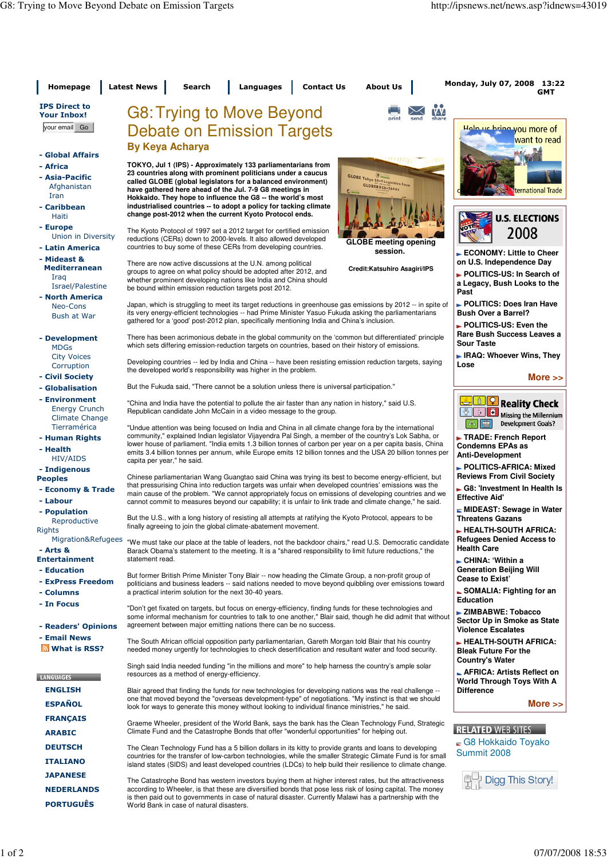